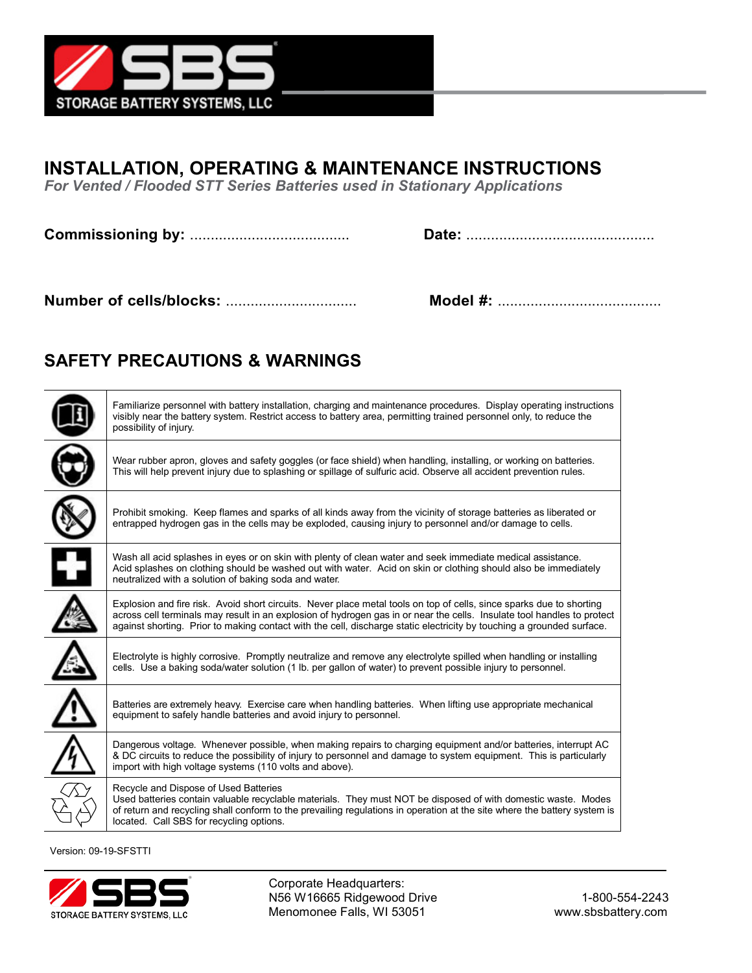

## **INSTALLATION, OPERATING & MAINTENANCE INSTRUCTIONS**

*For Vented / Flooded STT Series Batteries used in Stationary Applications*

**Commissioning by:** ....................................... **Date:** ..............................................

**Number of cells/blocks:** ................................ **Model #:** ........................................

## **SAFETY PRECAUTIONS & WARNINGS**

| Familiarize personnel with battery installation, charging and maintenance procedures. Display operating instructions<br>visibly near the battery system. Restrict access to battery area, permitting trained personnel only, to reduce the<br>possibility of injury.                                                                                                     |
|--------------------------------------------------------------------------------------------------------------------------------------------------------------------------------------------------------------------------------------------------------------------------------------------------------------------------------------------------------------------------|
| Wear rubber apron, gloves and safety goggles (or face shield) when handling, installing, or working on batteries.<br>This will help prevent injury due to splashing or spillage of sulfuric acid. Observe all accident prevention rules.                                                                                                                                 |
| Prohibit smoking. Keep flames and sparks of all kinds away from the vicinity of storage batteries as liberated or<br>entrapped hydrogen gas in the cells may be exploded, causing injury to personnel and/or damage to cells.                                                                                                                                            |
| Wash all acid splashes in eyes or on skin with plenty of clean water and seek immediate medical assistance.<br>Acid splashes on clothing should be washed out with water. Acid on skin or clothing should also be immediately<br>neutralized with a solution of baking soda and water.                                                                                   |
| Explosion and fire risk. Avoid short circuits. Never place metal tools on top of cells, since sparks due to shorting<br>across cell terminals may result in an explosion of hydrogen gas in or near the cells. Insulate tool handles to protect<br>against shorting. Prior to making contact with the cell, discharge static electricity by touching a grounded surface. |
| Electrolyte is highly corrosive. Promptly neutralize and remove any electrolyte spilled when handling or installing<br>cells. Use a baking soda/water solution (1 lb. per gallon of water) to prevent possible injury to personnel.                                                                                                                                      |
| Batteries are extremely heavy. Exercise care when handling batteries. When lifting use appropriate mechanical<br>equipment to safely handle batteries and avoid injury to personnel.                                                                                                                                                                                     |
| Dangerous voltage. Whenever possible, when making repairs to charging equipment and/or batteries, interrupt AC<br>& DC circuits to reduce the possibility of injury to personnel and damage to system equipment. This is particularly<br>import with high voltage systems (110 volts and above).                                                                         |
| Recycle and Dispose of Used Batteries<br>Used batteries contain valuable recyclable materials. They must NOT be disposed of with domestic waste. Modes<br>of return and recycling shall conform to the prevailing regulations in operation at the site where the battery system is<br>located. Call SBS for recycling options.                                           |
|                                                                                                                                                                                                                                                                                                                                                                          |

Version: 09-19-SFSTTI



 Corporate Headquarters: N56 W16665 Ridgewood Drive 1-800-554-2243 Menomonee Falls, WI 53051 www.sbsbattery.com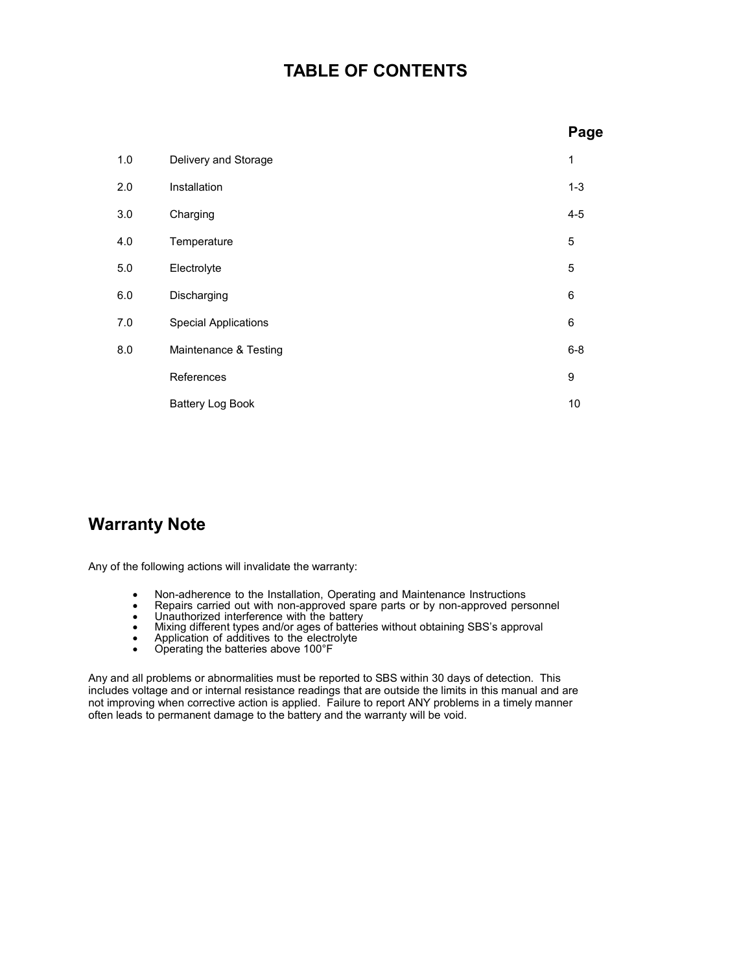### **TABLE OF CONTENTS**

|     |                             | Page         |
|-----|-----------------------------|--------------|
| 1.0 | Delivery and Storage        | $\mathbf{1}$ |
| 2.0 | Installation                | $1 - 3$      |
| 3.0 | Charging                    | $4 - 5$      |
| 4.0 | Temperature                 | 5            |
| 5.0 | Electrolyte                 | 5            |
| 6.0 | Discharging                 | 6            |
| 7.0 | <b>Special Applications</b> | 6            |
| 8.0 | Maintenance & Testing       | $6 - 8$      |
|     | References                  | 9            |
|     | <b>Battery Log Book</b>     | 10           |
|     |                             |              |

## **Warranty Note**

Any of the following actions will invalidate the warranty:

- 
- 
- 
- Non-adherence to the Installation, Operating and Maintenance Instructions<br>• Repairs carried out with non-approved spare parts or by non-approved personnel<br>• Unauthorized interference with the battery<br>• Mixing different t
- 
- 

Any and all problems or abnormalities must be reported to SBS within 30 days of detection. This includes voltage and or internal resistance readings that are outside the limits in this manual and are not improving when corrective action is applied. Failure to report ANY problems in a timely manner often leads to permanent damage to the battery and the warranty will be void.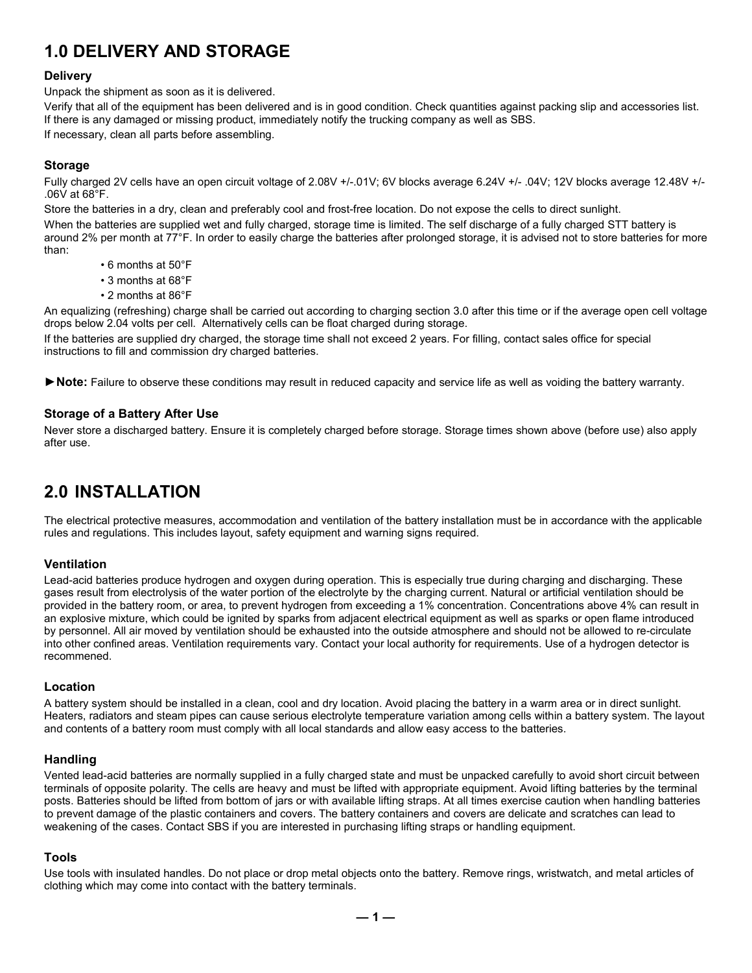## **1.0 DELIVERY AND STORAGE**

#### **Delivery**

Unpack the shipment as soon as it is delivered.

Verify that all of the equipment has been delivered and is in good condition. Check quantities against packing slip and accessories list. If there is any damaged or missing product, immediately notify the trucking company as well as SBS.

If necessary, clean all parts before assembling.

#### **Storage**

Fully charged 2V cells have an open circuit voltage of 2.08V +/-.01V; 6V blocks average 6.24V +/- .04V; 12V blocks average 12.48V +/-.06V at 68°F.

Store the batteries in a dry, clean and preferably cool and frost-free location. Do not expose the cells to direct sunlight. When the batteries are supplied wet and fully charged, storage time is limited. The self discharge of a fully charged STT battery is around 2% per month at 77°F. In order to easily charge the batteries after prolonged storage, it is advised not to store batteries for more than:

- 6 months at 50°F
- 3 months at 68°F
- 2 months at 86°F

An equalizing (refreshing) charge shall be carried out according to charging section 3.0 after this time or if the average open cell voltage drops below 2.04 volts per cell. Alternatively cells can be float charged during storage.

If the batteries are supplied dry charged, the storage time shall not exceed 2 years. For filling, contact sales office for special instructions to fill and commission dry charged batteries.

*►***Note:** Failure to observe these conditions may result in reduced capacity and service life as well as voiding the battery warranty.

#### **Storage of a Battery After Use**

Never store a discharged battery. Ensure it is completely charged before storage. Storage times shown above (before use) also apply after use.

## **2.0 INSTALLATION**

The electrical protective measures, accommodation and ventilation of the battery installation must be in accordance with the applicable rules and regulations. This includes layout, safety equipment and warning signs required.

#### **Ventilation**

Lead-acid batteries produce hydrogen and oxygen during operation. This is especially true during charging and discharging. These gases result from electrolysis of the water portion of the electrolyte by the charging current. Natural or artificial ventilation should be provided in the battery room, or area, to prevent hydrogen from exceeding a 1% concentration. Concentrations above 4% can result in an explosive mixture, which could be ignited by sparks from adjacent electrical equipment as well as sparks or open flame introduced by personnel. All air moved by ventilation should be exhausted into the outside atmosphere and should not be allowed to re-circulate into other confined areas. Ventilation requirements vary. Contact your local authority for requirements. Use of a hydrogen detector is recommened.

#### **Location**

A battery system should be installed in a clean, cool and dry location. Avoid placing the battery in a warm area or in direct sunlight. Heaters, radiators and steam pipes can cause serious electrolyte temperature variation among cells within a battery system. The layout and contents of a battery room must comply with all local standards and allow easy access to the batteries.

#### **Handling**

Vented lead-acid batteries are normally supplied in a fully charged state and must be unpacked carefully to avoid short circuit between terminals of opposite polarity. The cells are heavy and must be lifted with appropriate equipment. Avoid lifting batteries by the terminal posts. Batteries should be lifted from bottom of jars or with available lifting straps. At all times exercise caution when handling batteries to prevent damage of the plastic containers and covers. The battery containers and covers are delicate and scratches can lead to weakening of the cases. Contact SBS if you are interested in purchasing lifting straps or handling equipment.

#### **Tools**

Use tools with insulated handles. Do not place or drop metal objects onto the battery. Remove rings, wristwatch, and metal articles of clothing which may come into contact with the battery terminals.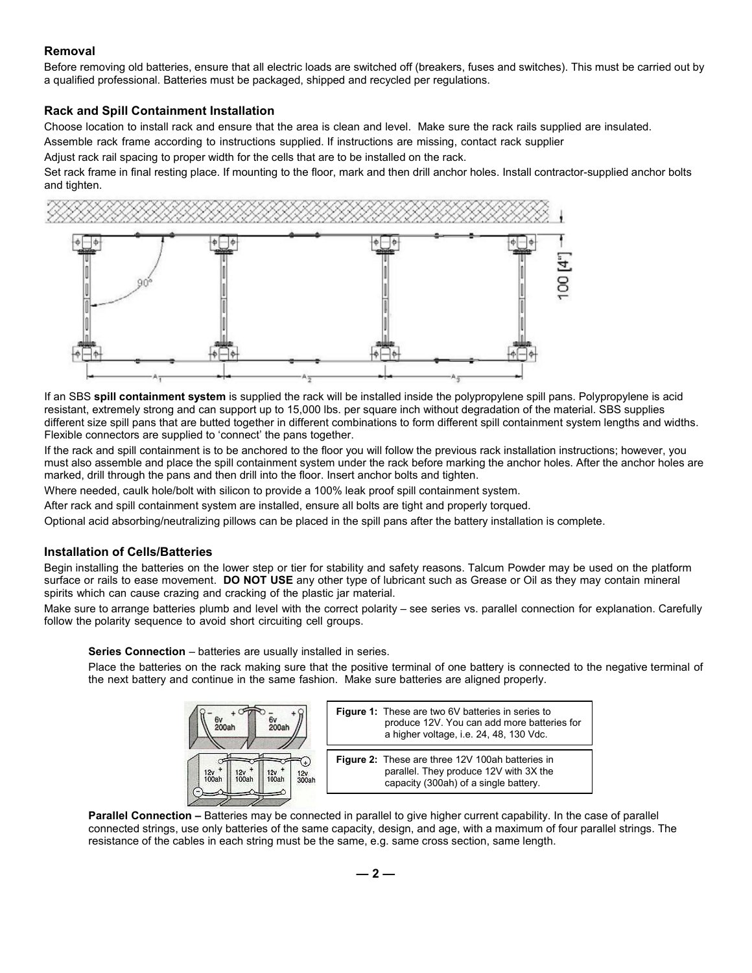#### **Removal**

Before removing old batteries, ensure that all electric loads are switched off (breakers, fuses and switches). This must be carried out by a qualified professional. Batteries must be packaged, shipped and recycled per regulations.

#### **Rack and Spill Containment Installation**

Choose location to install rack and ensure that the area is clean and level. Make sure the rack rails supplied are insulated.

Assemble rack frame according to instructions supplied. If instructions are missing, contact rack supplier

Adjust rack rail spacing to proper width for the cells that are to be installed on the rack.

Set rack frame in final resting place. If mounting to the floor, mark and then drill anchor holes. Install contractor-supplied anchor bolts and tighten.



If an SBS **spill containment system** is supplied the rack will be installed inside the polypropylene spill pans. Polypropylene is acid resistant, extremely strong and can support up to 15,000 lbs. per square inch without degradation of the material. SBS supplies different size spill pans that are butted together in different combinations to form different spill containment system lengths and widths. Flexible connectors are supplied to 'connect' the pans together.

If the rack and spill containment is to be anchored to the floor you will follow the previous rack installation instructions; however, you must also assemble and place the spill containment system under the rack before marking the anchor holes. After the anchor holes are marked, drill through the pans and then drill into the floor. Insert anchor bolts and tighten.

Where needed, caulk hole/bolt with silicon to provide a 100% leak proof spill containment system.

After rack and spill containment system are installed, ensure all bolts are tight and properly torqued.

Optional acid absorbing/neutralizing pillows can be placed in the spill pans after the battery installation is complete.

#### **Installation of Cells/Batteries**

Begin installing the batteries on the lower step or tier for stability and safety reasons. Talcum Powder may be used on the platform surface or rails to ease movement. **DO NOT USE** any other type of lubricant such as Grease or Oil as they may contain mineral spirits which can cause crazing and cracking of the plastic jar material.

Make sure to arrange batteries plumb and level with the correct polarity – see series vs. parallel connection for explanation. Carefully follow the polarity sequence to avoid short circuiting cell groups.

**Series Connection** – batteries are usually installed in series.

Place the batteries on the rack making sure that the positive terminal of one battery is connected to the negative terminal of the next battery and continue in the same fashion. Make sure batteries are aligned properly.





**Parallel Connection –** Batteries may be connected in parallel to give higher current capability. In the case of parallel connected strings, use only batteries of the same capacity, design, and age, with a maximum of four parallel strings. The resistance of the cables in each string must be the same, e.g. same cross section, same length.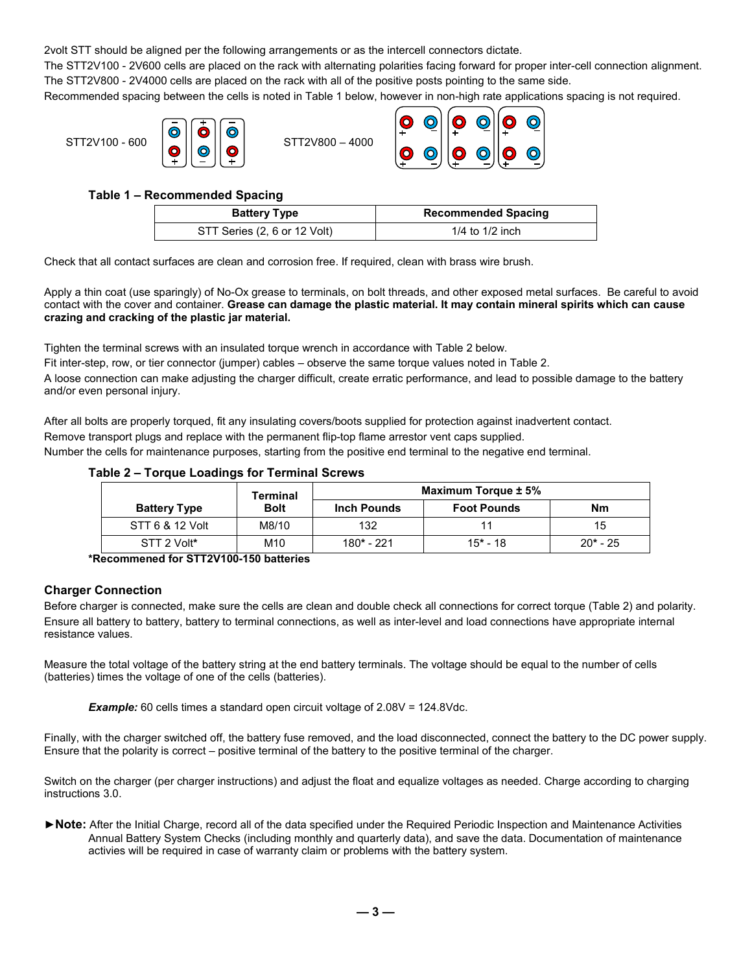2volt STT should be aligned per the following arrangements or as the intercell connectors dictate.

The STT2V100 - 2V600 cells are placed on the rack with alternating polarities facing forward for proper inter-cell connection alignment. The STT2V800 - 2V4000 cells are placed on the rack with all of the positive posts pointing to the same side.

Recommended spacing between the cells is noted in Table 1 below, however in non-high rate applications spacing is not required.



#### **Table 1 – Recommended Spacing**

| <b>Battery Type</b>          | <b>Recommended Spacing</b> |
|------------------------------|----------------------------|
| STT Series (2, 6 or 12 Volt) | $1/4$ to $1/2$ inch        |

Check that all contact surfaces are clean and corrosion free. If required, clean with brass wire brush.

Apply a thin coat (use sparingly) of No-Ox grease to terminals, on bolt threads, and other exposed metal surfaces. Be careful to avoid contact with the cover and container. **Grease can damage the plastic material. It may contain mineral spirits which can cause crazing and cracking of the plastic jar material.**

Tighten the terminal screws with an insulated torque wrench in accordance with Table 2 below.

Fit inter-step, row, or tier connector (jumper) cables – observe the same torque values noted in Table 2.

A loose connection can make adjusting the charger difficult, create erratic performance, and lead to possible damage to the battery and/or even personal injury.

After all bolts are properly torqued, fit any insulating covers/boots supplied for protection against inadvertent contact. Remove transport plugs and replace with the permanent flip-top flame arrestor vent caps supplied.

Number the cells for maintenance purposes, starting from the positive end terminal to the negative end terminal.

#### **Table 2 – Torque Loadings for Terminal Screws**

|                     | Terminal    |                    | Maximum Torque ± 5% |            |
|---------------------|-------------|--------------------|---------------------|------------|
| <b>Battery Type</b> | <b>Bolt</b> | <b>Inch Pounds</b> | <b>Foot Pounds</b>  | <b>Nm</b>  |
| STT 6 & 12 Volt     | M8/10       | 132                |                     | 15         |
| STT 2 Volt*         | M10         | 180* - 221         | $15*$ 18            | $20* - 25$ |

**\*Recommened for STT2V100-150 batteries**

#### **Charger Connection**

Before charger is connected, make sure the cells are clean and double check all connections for correct torque (Table 2) and polarity. Ensure all battery to battery, battery to terminal connections, as well as inter-level and load connections have appropriate internal resistance values.

Measure the total voltage of the battery string at the end battery terminals. The voltage should be equal to the number of cells (batteries) times the voltage of one of the cells (batteries).

**Example:** 60 cells times a standard open circuit voltage of 2.08V = 124.8Vdc.

Finally, with the charger switched off, the battery fuse removed, and the load disconnected, connect the battery to the DC power supply. Ensure that the polarity is correct – positive terminal of the battery to the positive terminal of the charger.

Switch on the charger (per charger instructions) and adjust the float and equalize voltages as needed. Charge according to charging instructions 3.0.

**►Note:** After the Initial Charge, record all of the data specified under the Required Periodic Inspection and Maintenance Activities Annual Battery System Checks (including monthly and quarterly data), and save the data. Documentation of maintenance activies will be required in case of warranty claim or problems with the battery system.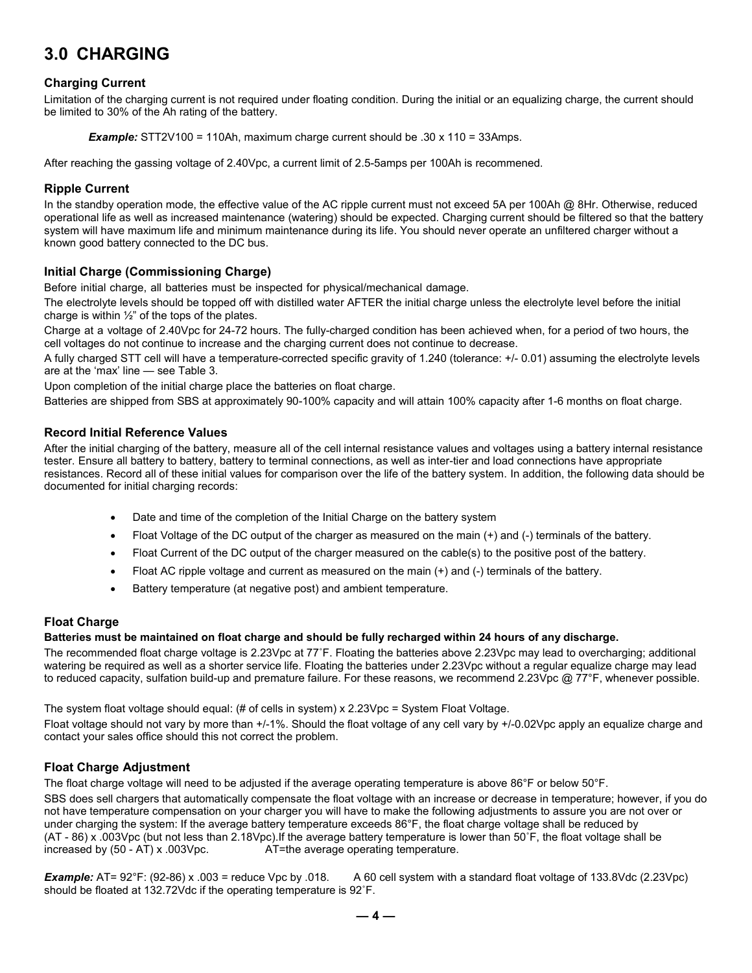## **3.0 CHARGING**

#### **Charging Current**

Limitation of the charging current is not required under floating condition. During the initial or an equalizing charge, the current should be limited to 30% of the Ah rating of the battery.

*Example:* STT2V100 = 110Ah, maximum charge current should be .30 x 110 = 33Amps.

After reaching the gassing voltage of 2.40Vpc, a current limit of 2.5-5amps per 100Ah is recommened.

#### **Ripple Current**

In the standby operation mode, the effective value of the AC ripple current must not exceed 5A per 100Ah  $@$  8Hr. Otherwise, reduced operational life as well as increased maintenance (watering) should be expected. Charging current should be filtered so that the battery system will have maximum life and minimum maintenance during its life. You should never operate an unfiltered charger without a known good battery connected to the DC bus.

#### **Initial Charge (Commissioning Charge)**

Before initial charge, all batteries must be inspected for physical/mechanical damage.

The electrolyte levels should be topped off with distilled water AFTER the initial charge unless the electrolyte level before the initial charge is within  $\frac{1}{2}$ " of the tops of the plates.

Charge at a voltage of 2.40Vpc for 24-72 hours. The fully-charged condition has been achieved when, for a period of two hours, the cell voltages do not continue to increase and the charging current does not continue to decrease.

A fully charged STT cell will have a temperature-corrected specific gravity of 1.240 (tolerance: +/- 0.01) assuming the electrolyte levels are at the 'max' line — see Table 3.

Upon completion of the initial charge place the batteries on float charge.

Batteries are shipped from SBS at approximately 90-100% capacity and will attain 100% capacity after 1-6 months on float charge.

#### **Record Initial Reference Values**

After the initial charging of the battery, measure all of the cell internal resistance values and voltages using a battery internal resistance tester. Ensure all battery to battery, battery to terminal connections, as well as inter-tier and load connections have appropriate resistances. Record all of these initial values for comparison over the life of the battery system. In addition, the following data should be documented for initial charging records:

- Date and time of the completion of the Initial Charge on the battery system
- Float Voltage of the DC output of the charger as measured on the main (+) and (-) terminals of the battery.
- Float Current of the DC output of the charger measured on the cable(s) to the positive post of the battery.
- Float AC ripple voltage and current as measured on the main  $(+)$  and  $(-)$  terminals of the battery.
- Battery temperature (at negative post) and ambient temperature.

#### **Float Charge**

#### **Batteries must be maintained on float charge and should be fully recharged within 24 hours of any discharge.**

The recommended float charge voltage is 2.23Vpc at 77˚F. Floating the batteries above 2.23Vpc may lead to overcharging; additional watering be required as well as a shorter service life. Floating the batteries under 2.23Vpc without a regular equalize charge may lead to reduced capacity, sulfation build-up and premature failure. For these reasons, we recommend 2.23Vpc @ 77°F, whenever possible.

The system float voltage should equal: (# of cells in system) x 2.23Vpc = System Float Voltage.

Float voltage should not vary by more than +/-1%. Should the float voltage of any cell vary by +/-0.02Vpc apply an equalize charge and contact your sales office should this not correct the problem.

#### **Float Charge Adjustment**

The float charge voltage will need to be adjusted if the average operating temperature is above 86°F or below 50°F.

SBS does sell chargers that automatically compensate the float voltage with an increase or decrease in temperature; however, if you do not have temperature compensation on your charger you will have to make the following adjustments to assure you are not over or under charging the system: If the average battery temperature exceeds 86°F, the float charge voltage shall be reduced by (AT - 86) x .003Vpc (but not less than 2.18Vpc).If the average battery temperature is lower than 50°F, the float voltage shall be increased by (50 - AT) x .003Vpc.  $AT$ =the average operating temperature. AT=the average operating temperature.

*Example:* AT= 92°F: (92-86) x .003 = reduce Vpc by .018. A 60 cell system with a standard float voltage of 133.8Vdc (2.23Vpc) should be floated at 132.72Vdc if the operating temperature is 92˚F.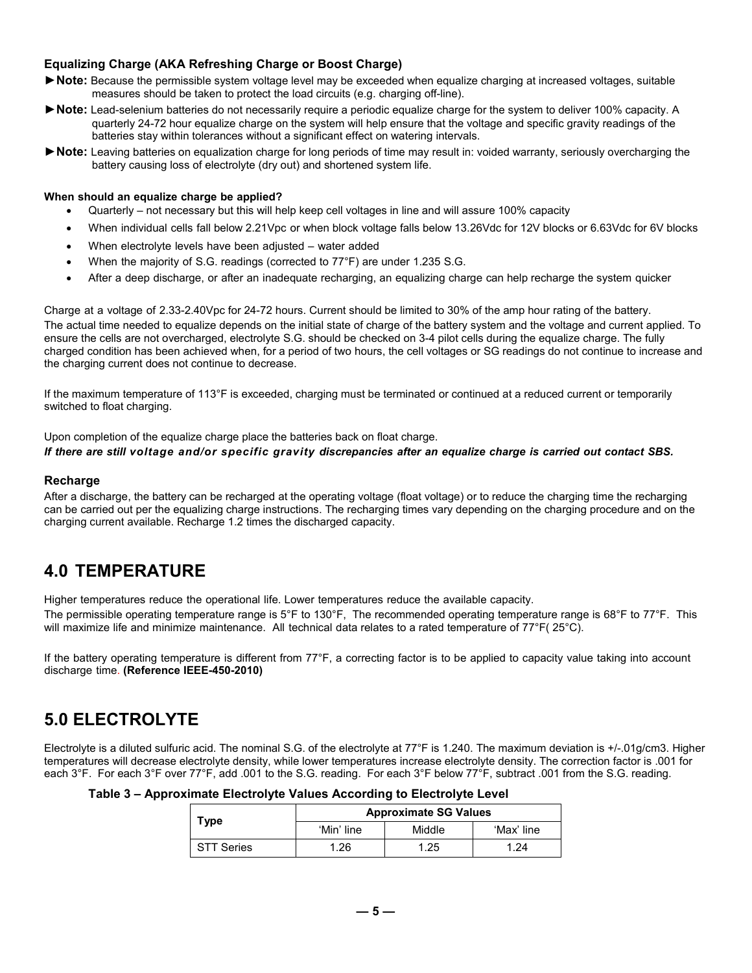#### **Equalizing Charge (AKA Refreshing Charge or Boost Charge)**

- ► Note: Because the permissible system voltage level may be exceeded when equalize charging at increased voltages, suitable measures should be taken to protect the load circuits (e.g. charging off-line).
- **►Note:** Lead-selenium batteries do not necessarily require a periodic equalize charge for the system to deliver 100% capacity. A quarterly 24-72 hour equalize charge on the system will help ensure that the voltage and specific gravity readings of the batteries stay within tolerances without a significant effect on watering intervals.
- **►Note:** Leaving batteries on equalization charge for long periods of time may result in: voided warranty, seriously overcharging the battery causing loss of electrolyte (dry out) and shortened system life.

#### **When should an equalize charge be applied?**

- Quarterly not necessary but this will help keep cell voltages in line and will assure 100% capacity
- When individual cells fall below 2.21Vpc or when block voltage falls below 13.26Vdc for 12V blocks or 6.63Vdc for 6V blocks
- When electrolyte levels have been adjusted water added
- When the majority of S.G. readings (corrected to 77°F) are under 1.235 S.G.
- After a deep discharge, or after an inadequate recharging, an equalizing charge can help recharge the system quicker

Charge at a voltage of 2.33-2.40Vpc for 24-72 hours. Current should be limited to 30% of the amp hour rating of the battery. The actual time needed to equalize depends on the initial state of charge of the battery system and the voltage and current applied. To ensure the cells are not overcharged, electrolyte S.G. should be checked on 3-4 pilot cells during the equalize charge. The fully charged condition has been achieved when, for a period of two hours, the cell voltages or SG readings do not continue to increase and the charging current does not continue to decrease.

If the maximum temperature of 113°F is exceeded, charging must be terminated or continued at a reduced current or temporarily switched to float charging.

Upon completion of the equalize charge place the batteries back on float charge.

#### *If there are still voltage and/or specific gravity discrepancies after an equalize charge is carried out contact SBS.*

#### **Recharge**

After a discharge, the battery can be recharged at the operating voltage (float voltage) or to reduce the charging time the recharging can be carried out per the equalizing charge instructions. The recharging times vary depending on the charging procedure and on the charging current available. Recharge 1.2 times the discharged capacity.

## **4.0 TEMPERATURE**

Higher temperatures reduce the operational life. Lower temperatures reduce the available capacity.

The permissible operating temperature range is 5°F to 130°F, The recommended operating temperature range is 68°F to 77°F. This will maximize life and minimize maintenance. All technical data relates to a rated temperature of 77°F( 25°C).

If the battery operating temperature is different from 77°F, a correcting factor is to be applied to capacity value taking into account discharge time. **(Reference IEEE-450-2010)**

## **5.0 ELECTROLYTE**

Electrolyte is a diluted sulfuric acid. The nominal S.G. of the electrolyte at 77°F is 1.240. The maximum deviation is +/-.01g/cm3. Higher temperatures will decrease electrolyte density, while lower temperatures increase electrolyte density. The correction factor is .001 for each 3°F. For each 3°F over 77°F, add .001 to the S.G. reading. For each 3°F below 77°F, subtract .001 from the S.G. reading.

| Table 3 – Approximate Electrolyte Values According to Electrolyte Level |  |  |  |  |  |
|-------------------------------------------------------------------------|--|--|--|--|--|
|-------------------------------------------------------------------------|--|--|--|--|--|

| Type              | <b>Approximate SG Values</b><br>'Min' line<br>Middle<br>.26<br>.25 |  |            |
|-------------------|--------------------------------------------------------------------|--|------------|
|                   |                                                                    |  | 'Max' line |
| <b>STT Series</b> |                                                                    |  | -24        |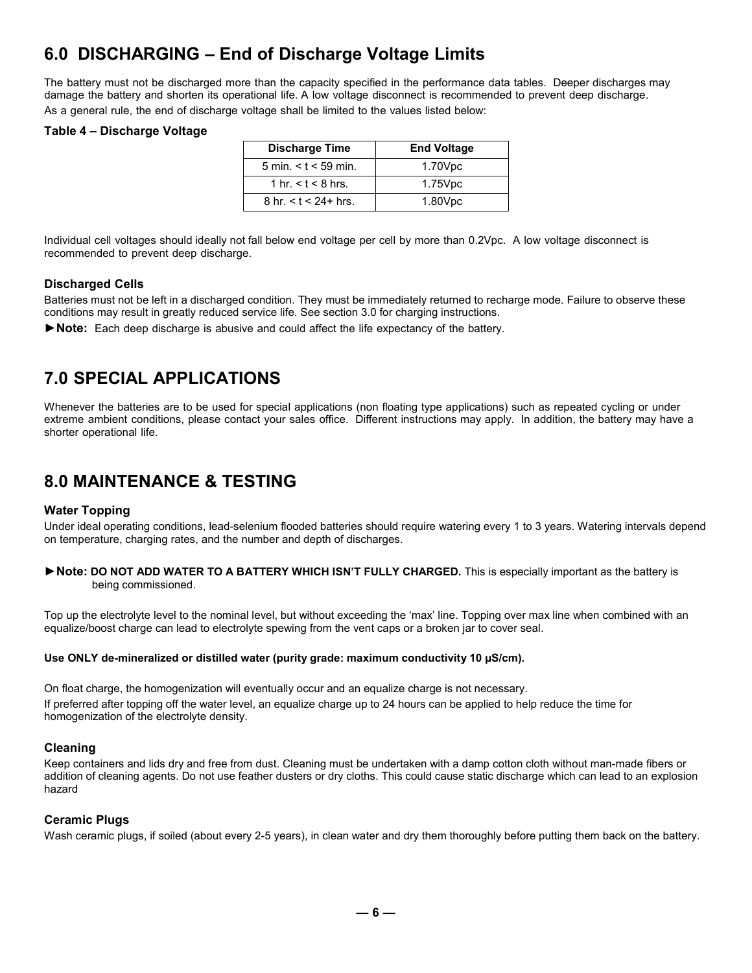## **6.0 DISCHARGING – End of Discharge Voltage Limits**

The battery must not be discharged more than the capacity specified in the performance data tables. Deeper discharges may damage the battery and shorten its operational life. A low voltage disconnect is recommended to prevent deep discharge. As a general rule, the end of discharge voltage shall be limited to the values listed below:

#### **Table 4 – Discharge Voltage**

| <b>Discharge Time</b>                  | <b>End Voltage</b> |
|----------------------------------------|--------------------|
| $5 \text{ min.} < t < 59 \text{ min.}$ | 1.70Vpc            |
| 1 hr. $<$ t $<$ 8 hrs.                 | 1.75Vpc            |
| 8 hr. $<$ t $<$ 24+ hrs.               | 1.80Vpc            |

Individual cell voltages should ideally not fall below end voltage per cell by more than 0.2Vpc. A low voltage disconnect is recommended to prevent deep discharge.

#### **Discharged Cells**

Batteries must not be left in a discharged condition. They must be immediately returned to recharge mode. Failure to observe these conditions may result in greatly reduced service life. See section 3.0 for charging instructions.

**►Note:** Each deep discharge is abusive and could affect the life expectancy of the battery.

## **7.0 SPECIAL APPLICATIONS**

Whenever the batteries are to be used for special applications (non floating type applications) such as repeated cycling or under extreme ambient conditions, please contact your sales office. Different instructions may apply. In addition, the battery may have a shorter operational life.

## **8.0 MAINTENANCE & TESTING**

#### **Water Topping**

Under ideal operating conditions, lead-selenium flooded batteries should require watering every 1 to 3 years. Watering intervals depend on temperature, charging rates, and the number and depth of discharges.

**►Note: DO NOT ADD WATER TO A BATTERY WHICH ISN'T FULLY CHARGED.** This is especially important as the battery is being commissioned.

Top up the electrolyte level to the nominal level, but without exceeding the 'max' line. Topping over max line when combined with an equalize/boost charge can lead to electrolyte spewing from the vent caps or a broken jar to cover seal.

#### **Use ONLY de-mineralized or distilled water (purity grade: maximum conductivity 10 µS/cm).**

On float charge, the homogenization will eventually occur and an equalize charge is not necessary. If preferred after topping off the water level, an equalize charge up to 24 hours can be applied to help reduce the time for homogenization of the electrolyte density.

#### **Cleaning**

Keep containers and lids dry and free from dust. Cleaning must be undertaken with a damp cotton cloth without man-made fibers or addition of cleaning agents. Do not use feather dusters or dry cloths. This could cause static discharge which can lead to an explosion hazard

#### **Ceramic Plugs**

Wash ceramic plugs, if soiled (about every 2-5 years), in clean water and dry them thoroughly before putting them back on the battery.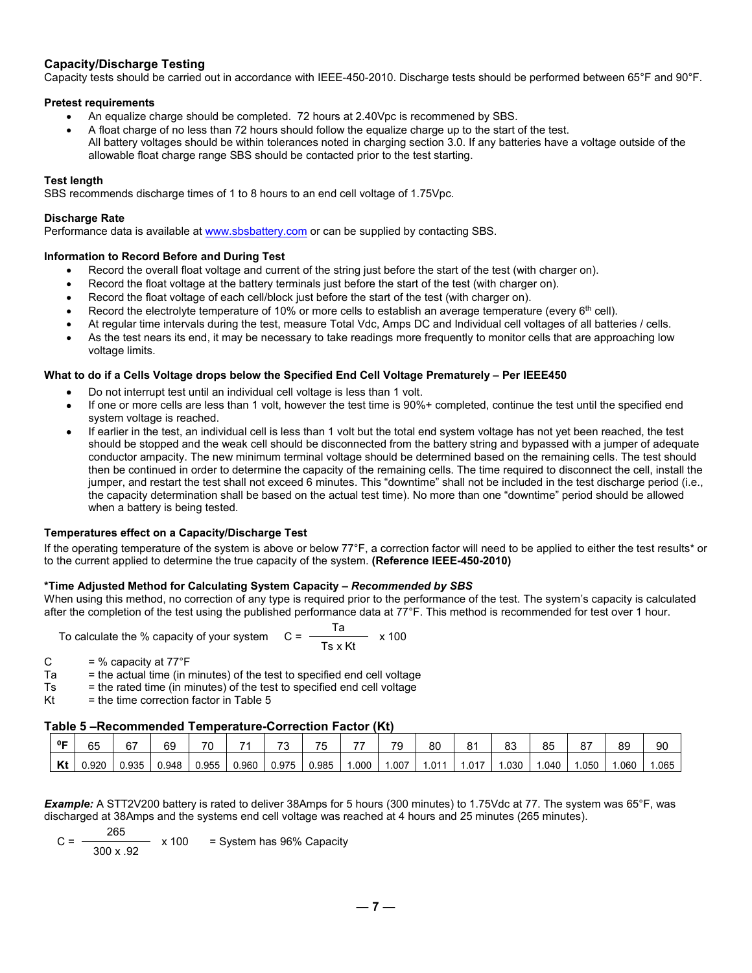#### **Capacity/Discharge Testing**

Capacity tests should be carried out in accordance with IEEE-450-2010. Discharge tests should be performed between 65°F and 90°F.

#### **Pretest requirements**

- An equalize charge should be completed. 72 hours at 2.40Vpc is recommened by SBS.
- A float charge of no less than 72 hours should follow the equalize charge up to the start of the test. All battery voltages should be within tolerances noted in charging section 3.0. If any batteries have a voltage outside of the allowable float charge range SBS should be contacted prior to the test starting.

#### **Test length**

SBS recommends discharge times of 1 to 8 hours to an end cell voltage of 1.75Vpc.

#### **Discharge Rate**

Performance data is available at [www.sbsbattery.com](http://www.sbsbattery.com/) or can be supplied by contacting SBS.

#### **Information to Record Before and During Test**

- Record the overall float voltage and current of the string just before the start of the test (with charger on).
- Record the float voltage at the battery terminals just before the start of the test (with charger on).
- Record the float voltage of each cell/block just before the start of the test (with charger on).
- Record the electrolyte temperature of 10% or more cells to establish an average temperature (every 6<sup>th</sup> cell).
- At regular time intervals during the test, measure Total Vdc, Amps DC and Individual cell voltages of all batteries / cells.
- As the test nears its end, it may be necessary to take readings more frequently to monitor cells that are approaching low voltage limits.

#### **What to do if a Cells Voltage drops below the Specified End Cell Voltage Prematurely – Per IEEE450**

- Do not interrupt test until an individual cell voltage is less than 1 volt.
- If one or more cells are less than 1 volt, however the test time is 90%+ completed, continue the test until the specified end system voltage is reached.
- If earlier in the test, an individual cell is less than 1 volt but the total end system voltage has not yet been reached, the test should be stopped and the weak cell should be disconnected from the battery string and bypassed with a jumper of adequate conductor ampacity. The new minimum terminal voltage should be determined based on the remaining cells. The test should then be continued in order to determine the capacity of the remaining cells. The time required to disconnect the cell, install the jumper, and restart the test shall not exceed 6 minutes. This "downtime" shall not be included in the test discharge period (i.e., the capacity determination shall be based on the actual test time). No more than one "downtime" period should be allowed when a battery is being tested.

#### **Temperatures effect on a Capacity/Discharge Test**

If the operating temperature of the system is above or below 77°F, a correction factor will need to be applied to either the test results\* or to the current applied to determine the true capacity of the system. **(Reference IEEE-450-2010)**

#### **\*Time Adjusted Method for Calculating System Capacity** *– Recommended by SBS*

When using this method, no correction of any type is required prior to the performance of the test. The system's capacity is calculated after the completion of the test using the published performance data at 77°F. This method is recommended for test over 1 hour.

To calculate the % capacity of your system  $C = \frac{T}{T}$  $- x 100$ Ts x Kt

- C  $= %$  capacity at  $77^{\circ}F$
- $T_a$  = the actual time (in minutes) of the test to specified end cell voltage<br> $T_s$  = the rated time (in minutes) of the test to specified end cell voltage
- $=$  the rated time (in minutes) of the test to specified end cell voltage
- $Kt =$  the time correction factor in Table 5

#### **Table 5 –Recommended Temperature-Correction Factor (Kt)**

| 0 <sub>E</sub> | 65   | 67    | 69    | 70    |       | $\overline{\phantom{a}}$<br>ັບ | 75    | --   | 79   | 80    | 81   | 83   | 85   | 87   | 89   | 90   |
|----------------|------|-------|-------|-------|-------|--------------------------------|-------|------|------|-------|------|------|------|------|------|------|
| LZ 4<br>nι     | .920 | 0.935 | 0.948 | 0.955 | 0.960 | 0.975                          | 0.985 | .000 | .007 | 1.011 | .017 | .030 | .040 | .050 | .060 | .065 |

*Example:* A STT2V200 battery is rated to deliver 38Amps for 5 hours (300 minutes) to 1.75Vdc at 77. The system was 65°F, was discharged at 38Amps and the systems end cell voltage was reached at 4 hours and 25 minutes (265 minutes).

$$
C = \frac{265}{300 \times .92} \times 100 = \text{System has 96\% Capacity}
$$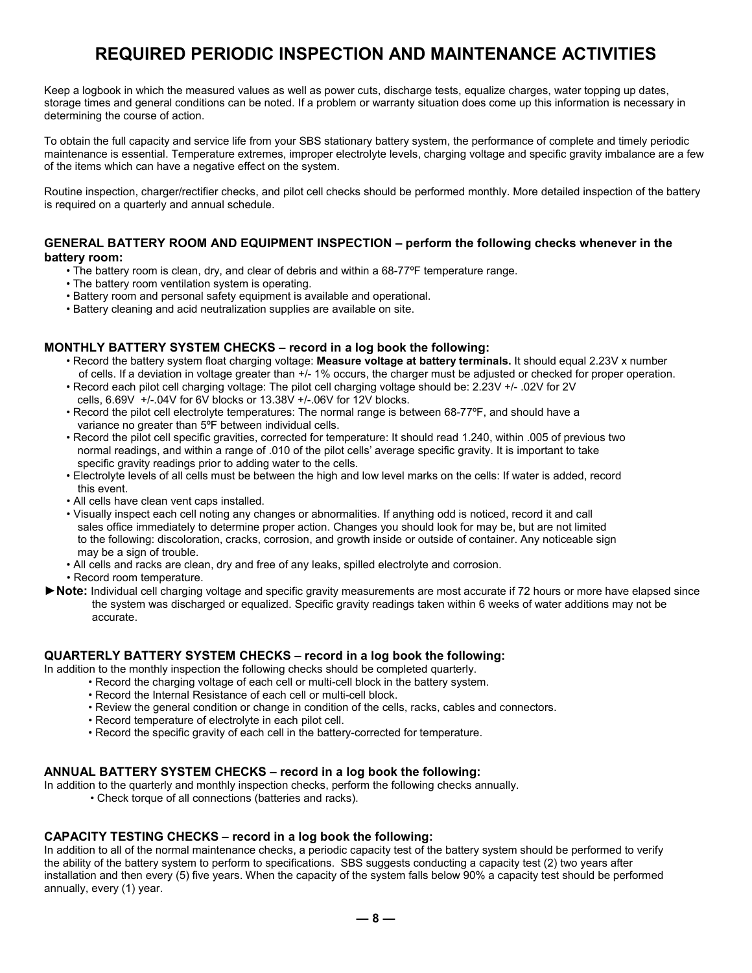## **REQUIRED PERIODIC INSPECTION AND MAINTENANCE ACTIVITIES**

Keep a logbook in which the measured values as well as power cuts, discharge tests, equalize charges, water topping up dates, storage times and general conditions can be noted. If a problem or warranty situation does come up this information is necessary in determining the course of action.

To obtain the full capacity and service life from your SBS stationary battery system, the performance of complete and timely periodic maintenance is essential. Temperature extremes, improper electrolyte levels, charging voltage and specific gravity imbalance are a few of the items which can have a negative effect on the system.

Routine inspection, charger/rectifier checks, and pilot cell checks should be performed monthly. More detailed inspection of the battery is required on a quarterly and annual schedule.

#### **GENERAL BATTERY ROOM AND EQUIPMENT INSPECTION – perform the following checks whenever in the battery room:**

- The battery room is clean, dry, and clear of debris and within a 68-77ºF temperature range.
- The battery room ventilation system is operating.
- Battery room and personal safety equipment is available and operational.
- Battery cleaning and acid neutralization supplies are available on site.

#### **MONTHLY BATTERY SYSTEM CHECKS – record in a log book the following:**

- Record the battery system float charging voltage: **Measure voltage at battery terminals.** It should equal 2.23V x number of cells. If a deviation in voltage greater than  $+/-1\%$  occurs, the charger must be adjusted or checked for proper operation.
- Record each pilot cell charging voltage: The pilot cell charging voltage should be: 2.23V +/- .02V for 2V cells, 6.69V +/-.04V for 6V blocks or 13.38V +/-.06V for 12V blocks.
- Record the pilot cell electrolyte temperatures: The normal range is between 68-77ºF, and should have a variance no greater than 5ºF between individual cells.
- Record the pilot cell specific gravities, corrected for temperature: It should read 1.240, within .005 of previous two normal readings, and within a range of .010 of the pilot cells' average specific gravity. It is important to take specific gravity readings prior to adding water to the cells.
- Electrolyte levels of all cells must be between the high and low level marks on the cells: If water is added, record this event.
- All cells have clean vent caps installed.
- Visually inspect each cell noting any changes or abnormalities. If anything odd is noticed, record it and call sales office immediately to determine proper action. Changes you should look for may be, but are not limited to the following: discoloration, cracks, corrosion, and growth inside or outside of container. Any noticeable sign may be a sign of trouble.
- All cells and racks are clean, dry and free of any leaks, spilled electrolyte and corrosion.
- Record room temperature.
- **►Note:** Individual cell charging voltage and specific gravity measurements are most accurate if 72 hours or more have elapsed since the system was discharged or equalized. Specific gravity readings taken within 6 weeks of water additions may not be accurate.

#### **QUARTERLY BATTERY SYSTEM CHECKS – record in a log book the following:**

In addition to the monthly inspection the following checks should be completed quarterly.

- Record the charging voltage of each cell or multi-cell block in the battery system.
	- Record the Internal Resistance of each cell or multi-cell block.
	- Review the general condition or change in condition of the cells, racks, cables and connectors.
	- Record temperature of electrolyte in each pilot cell.
	- Record the specific gravity of each cell in the battery-corrected for temperature.

#### **ANNUAL BATTERY SYSTEM CHECKS – record in a log book the following:**

In addition to the quarterly and monthly inspection checks, perform the following checks annually.

• Check torque of all connections (batteries and racks).

#### **CAPACITY TESTING CHECKS – record in a log book the following:**

In addition to all of the normal maintenance checks, a periodic capacity test of the battery system should be performed to verify the ability of the battery system to perform to specifications. SBS suggests conducting a capacity test (2) two years after installation and then every (5) five years. When the capacity of the system falls below 90% a capacity test should be performed annually, every (1) year.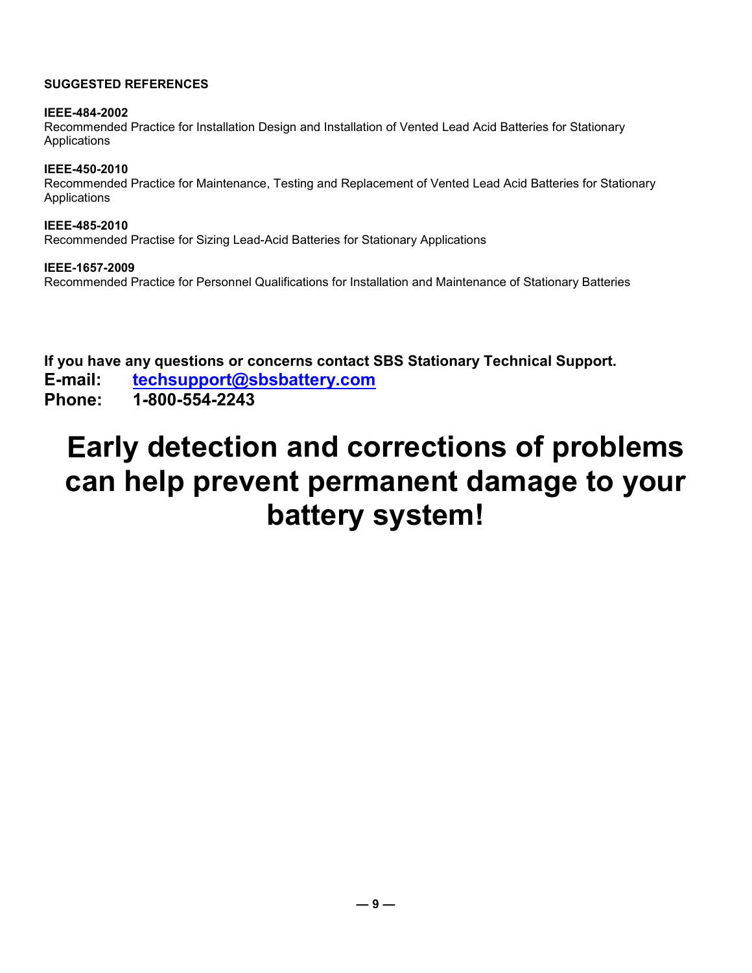#### **SUGGESTED REFERENCES**

#### **IEEE-484-2002**

Recommended Practice for Installation Design and Installation of Vented Lead Acid Batteries for Stationary Applications

#### **IEEE-450-2010**

Recommended Practice for Maintenance, Testing and Replacement of Vented Lead Acid Batteries for Stationary Applications

**IEEE-485-2010** Recommended Practise for Sizing Lead-Acid Batteries for Stationary Applications

#### **IEEE-1657-2009**

Recommended Practice for Personnel Qualifications for Installation and Maintenance of Stationary Batteries

**If you have any questions or concerns contact SBS Stationary Technical Support.** 

**E-mail: [techsupport@sbsbattery.com](mailto:techsupport@sbsbattery.com)**

**Phone: 1-800-554-2243**

# **Early detection and corrections of problems can help prevent permanent damage to your battery system!**